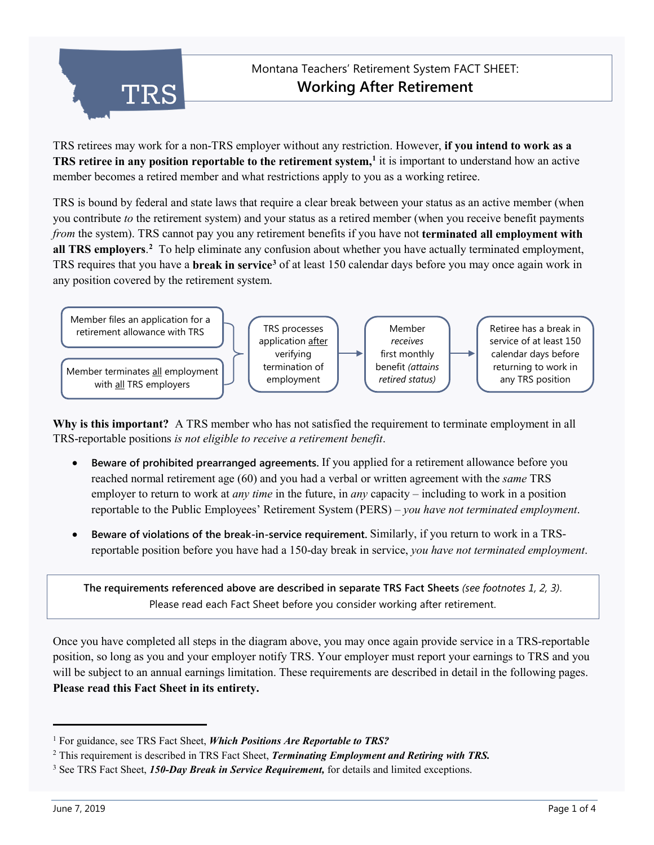

TRS retirees may work for a non-TRS employer without any restriction. However, **if you intend to work as a TRS retiree in any position reportable to the retirement system, [1](#page-0-0)** it is important to understand how an active member becomes a retired member and what restrictions apply to you as a working retiree.

TRS is bound by federal and state laws that require a clear break between your status as an active member (when you contribute *to* the retirement system) and your status as a retired member (when you receive benefit payments *from* the system). TRS cannot pay you any retirement benefits if you have not **terminated all employment with all TRS employers**. **[2](#page-0-1)** To help eliminate any confusion about whether you have actually terminated employment, TRS requires that you have a **break in servic[e3](#page-0-2)** of at least 150 calendar days before you may once again work in any position covered by the retirement system.



**Why is this important?** A TRS member who has not satisfied the requirement to terminate employment in all TRS-reportable positions *is not eligible to receive a retirement benefit*.

- **Beware of prohibited prearranged agreements.** If you applied for a retirement allowance before you reached normal retirement age (60) and you had a verbal or written agreement with the *same* TRS employer to return to work at *any time* in the future, in *any* capacity – including to work in a position reportable to the Public Employees' Retirement System (PERS) – *you have not terminated employment*.
- **Beware of violations of the break-in-service requirement.** Similarly, if you return to work in a TRSreportable position before you have had a 150-day break in service, *you have not terminated employment*.

**The requirements referenced above are described in separate TRS Fact Sheets** *(see footnotes 1, 2, 3)*. Please read each Fact Sheet before you consider working after retirement.

Once you have completed all steps in the diagram above, you may once again provide service in a TRS-reportable position, so long as you and your employer notify TRS. Your employer must report your earnings to TRS and you will be subject to an annual earnings limitation. These requirements are described in detail in the following pages. **Please read this Fact Sheet in its entirety.**

j

<span id="page-0-0"></span><sup>1</sup> For guidance, see TRS Fact Sheet, *Which Positions Are Reportable to TRS?*

<span id="page-0-1"></span><sup>2</sup> This requirement is described in TRS Fact Sheet, *Terminating Employment and Retiring with TRS.*

<span id="page-0-2"></span><sup>3</sup> See TRS Fact Sheet, *150-Day Break in Service Requirement,* for details and limited exceptions.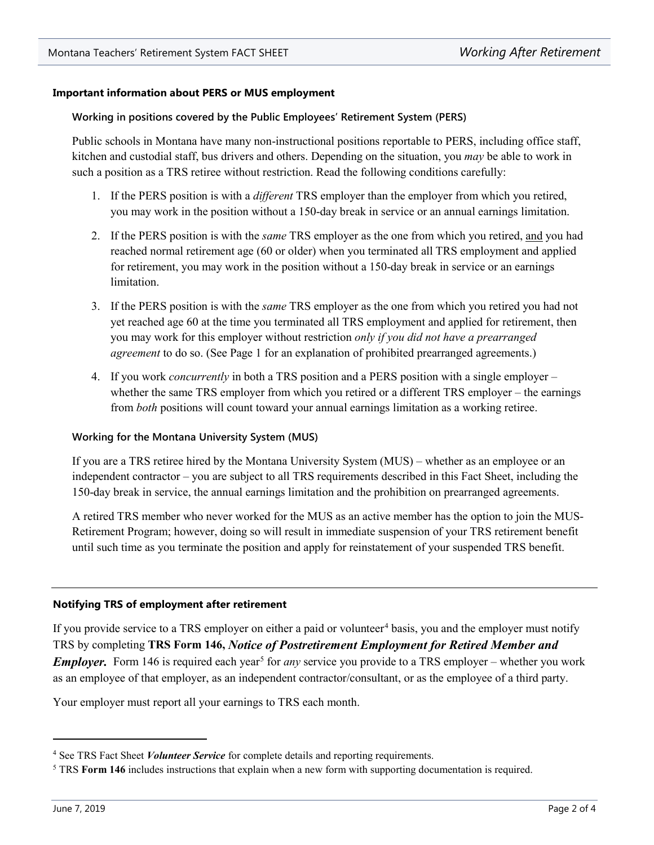# **Important information about PERS or MUS employment**

#### **Working in positions covered by the Public Employees' Retirement System (PERS)**

Public schools in Montana have many non-instructional positions reportable to PERS, including office staff, kitchen and custodial staff, bus drivers and others. Depending on the situation, you *may* be able to work in such a position as a TRS retiree without restriction. Read the following conditions carefully:

- 1. If the PERS position is with a *different* TRS employer than the employer from which you retired, you may work in the position without a 150-day break in service or an annual earnings limitation.
- 2. If the PERS position is with the *same* TRS employer as the one from which you retired, and you had reached normal retirement age (60 or older) when you terminated all TRS employment and applied for retirement, you may work in the position without a 150-day break in service or an earnings limitation.
- 3. If the PERS position is with the *same* TRS employer as the one from which you retired you had not yet reached age 60 at the time you terminated all TRS employment and applied for retirement, then you may work for this employer without restriction *only if you did not have a prearranged agreement* to do so. (See Page 1 for an explanation of prohibited prearranged agreements.)
- 4. If you work *concurrently* in both a TRS position and a PERS position with a single employer whether the same TRS employer from which you retired or a different TRS employer – the earnings from *both* positions will count toward your annual earnings limitation as a working retiree.

#### **Working for the Montana University System (MUS)**

If you are a TRS retiree hired by the Montana University System (MUS) – whether as an employee or an independent contractor – you are subject to all TRS requirements described in this Fact Sheet, including the 150-day break in service, the annual earnings limitation and the prohibition on prearranged agreements.

A retired TRS member who never worked for the MUS as an active member has the option to join the MUS-Retirement Program; however, doing so will result in immediate suspension of your TRS retirement benefit until such time as you terminate the position and apply for reinstatement of your suspended TRS benefit.

# **Notifying TRS of employment after retirement**

If you provide service to a TRS employer on either a paid or volunteer<sup>[4](#page-1-0)</sup> basis, you and the employer must notify TRS by completing **TRS Form 146,** *Notice of Postretirement Employment for Retired Member and Employer.* Form 146 is required each year<sup>[5](#page-1-1)</sup> for *any* service you provide to a TRS employer – whether you work as an employee of that employer, as an independent contractor/consultant, or as the employee of a third party.

Your employer must report all your earnings to TRS each month.

j

<span id="page-1-0"></span><sup>4</sup> See TRS Fact Sheet *Volunteer Service* for complete details and reporting requirements.

<span id="page-1-1"></span><sup>5</sup> TRS **Form 146** includes instructions that explain when a new form with supporting documentation is required.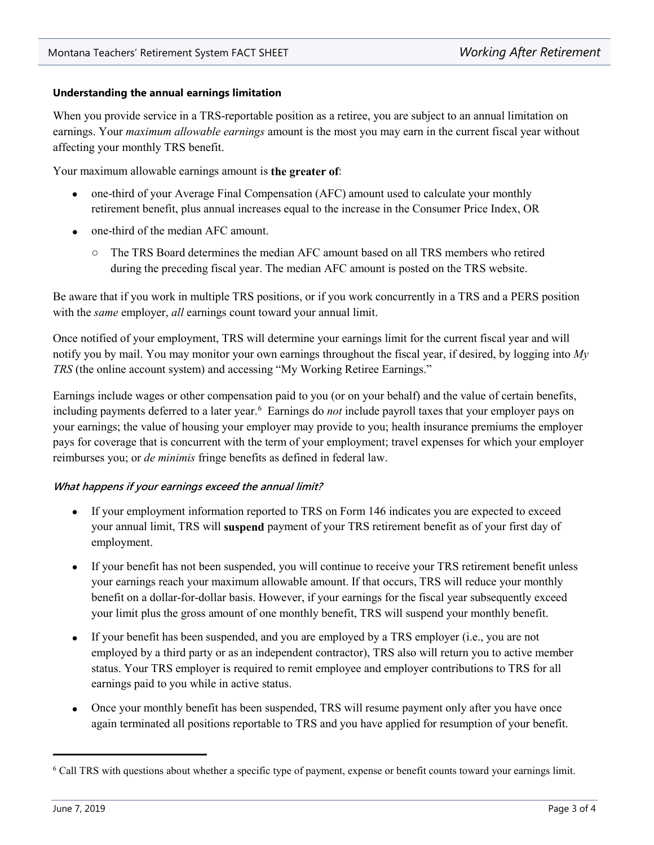## **Understanding the annual earnings limitation**

When you provide service in a TRS-reportable position as a retiree, you are subject to an annual limitation on earnings. Your *maximum allowable earnings* amount is the most you may earn in the current fiscal year without affecting your monthly TRS benefit.

Your maximum allowable earnings amount is **the greater of**:

- one-third of your Average Final Compensation (AFC) amount used to calculate your monthly retirement benefit, plus annual increases equal to the increase in the Consumer Price Index, OR
- one-third of the median AFC amount.
	- $\circ$  The TRS Board determines the median AFC amount based on all TRS members who retired during the preceding fiscal year. The median AFC amount is posted on the TRS website.

Be aware that if you work in multiple TRS positions, or if you work concurrently in a TRS and a PERS position with the *same* employer, *all* earnings count toward your annual limit.

Once notified of your employment, TRS will determine your earnings limit for the current fiscal year and will notify you by mail. You may monitor your own earnings throughout the fiscal year, if desired, by logging into *My TRS* (the online account system) and accessing "My Working Retiree Earnings."

Earnings include wages or other compensation paid to you (or on your behalf) and the value of certain benefits, including payments deferred to a later year.<sup>[6](#page-2-0)</sup> Earnings do *not* include payroll taxes that your employer pays on your earnings; the value of housing your employer may provide to you; health insurance premiums the employer pays for coverage that is concurrent with the term of your employment; travel expenses for which your employer reimburses you; or *de minimis* fringe benefits as defined in federal law.

# **What happens if your earnings exceed the annual limit?**

- If your employment information reported to TRS on Form 146 indicates you are expected to exceed your annual limit, TRS will **suspend** payment of your TRS retirement benefit as of your first day of employment.
- If your benefit has not been suspended, you will continue to receive your TRS retirement benefit unless your earnings reach your maximum allowable amount. If that occurs, TRS will reduce your monthly benefit on a dollar-for-dollar basis. However, if your earnings for the fiscal year subsequently exceed your limit plus the gross amount of one monthly benefit, TRS will suspend your monthly benefit.
- If your benefit has been suspended, and you are employed by a TRS employer (i.e., you are not employed by a third party or as an independent contractor), TRS also will return you to active member status. Your TRS employer is required to remit employee and employer contributions to TRS for all earnings paid to you while in active status.
- Once your monthly benefit has been suspended, TRS will resume payment only after you have once again terminated all positions reportable to TRS and you have applied for resumption of your benefit.

j

<span id="page-2-0"></span><sup>6</sup> Call TRS with questions about whether a specific type of payment, expense or benefit counts toward your earnings limit.